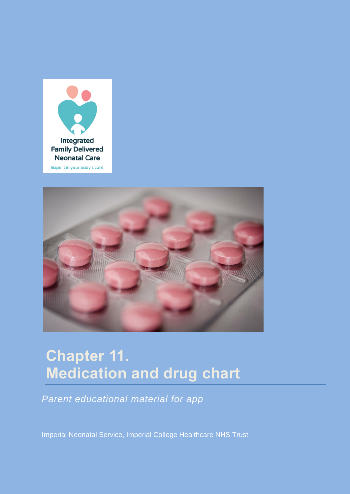



# **Chapter 11. Medication and drug chart**

*Parent educational material for app*

Imperial Neonatal Service, Imperial College Healthcare NHS Trust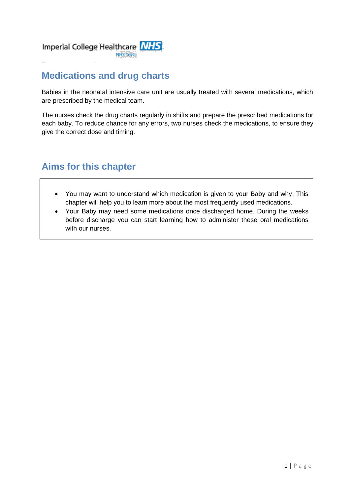

### **Medications and drug charts**

Babies in the neonatal intensive care unit are usually treated with several medications, which are prescribed by the medical team.

The nurses check the drug charts regularly in shifts and prepare the prescribed medications for each baby. To reduce chance for any errors, two nurses check the medications, to ensure they give the correct dose and timing.

#### **Aims for this chapter**

- You may want to understand which medication is given to your Baby and why. This chapter will help you to learn more about the most frequently used medications.
- Your Baby may need some medications once discharged home. During the weeks before discharge you can start learning how to administer these oral medications with our nurses.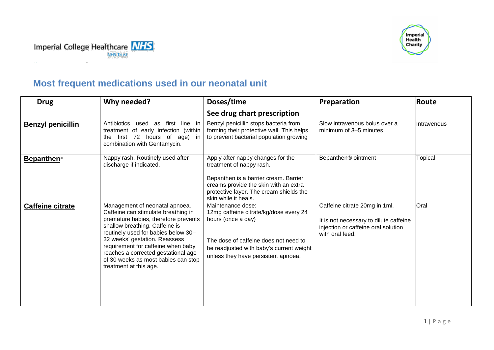



## **Most frequent medications used in our neonatal unit**

| <b>Drug</b>                   | Why needed?                                                                                                                                                                                                                                                                                                                                                           | Doses/time                                                                                                                                                                                                         | Preparation                                                                                                                       | Route       |
|-------------------------------|-----------------------------------------------------------------------------------------------------------------------------------------------------------------------------------------------------------------------------------------------------------------------------------------------------------------------------------------------------------------------|--------------------------------------------------------------------------------------------------------------------------------------------------------------------------------------------------------------------|-----------------------------------------------------------------------------------------------------------------------------------|-------------|
|                               |                                                                                                                                                                                                                                                                                                                                                                       | See drug chart prescription                                                                                                                                                                                        |                                                                                                                                   |             |
| <b>Benzyl penicillin</b>      | used as first line in<br>Antibiotics<br>treatment of early infection (within<br>the first 72 hours of age) in<br>combination with Gentamycin.                                                                                                                                                                                                                         | Benzyl penicillin stops bacteria from<br>forming their protective wall. This helps<br>to prevent bacterial population growing                                                                                      | Slow intravenous bolus over a<br>minimum of 3-5 minutes.                                                                          | Intravenous |
| <b>Bepanthen</b> <sup>®</sup> | Nappy rash. Routinely used after<br>discharge if indicated.                                                                                                                                                                                                                                                                                                           | Apply after nappy changes for the<br>treatment of nappy rash.<br>Bepanthen is a barrier cream. Barrier<br>creams provide the skin with an extra<br>protective layer. The cream shields the<br>skin while it heals. | Bepanthen <sup>®</sup> ointment                                                                                                   | Topical     |
| <b>Caffeine citrate</b>       | Management of neonatal apnoea.<br>Caffeine can stimulate breathing in<br>premature babies, therefore prevents<br>shallow breathing. Caffeine is<br>routinely used for babies below 30-<br>32 weeks' gestation. Reassess<br>requirement for caffeine when baby<br>reaches a corrected gestational age<br>of 30 weeks as most babies can stop<br>treatment at this age. | Maintenance dose:<br>12mg caffeine citrate/kg/dose every 24<br>hours (once a day)<br>The dose of caffeine does not need to<br>be readjusted with baby's current weight<br>unless they have persistent apnoea.      | Caffeine citrate 20mg in 1ml.<br>It is not necessary to dilute caffeine<br>injection or caffeine oral solution<br>with oral feed. | Oral        |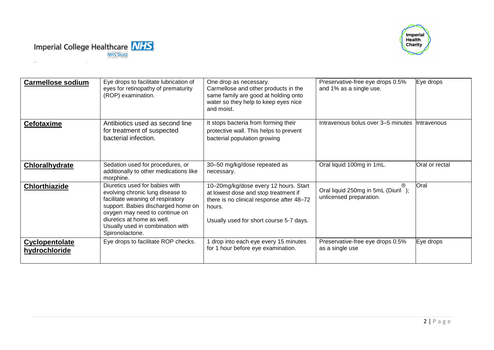



| <b>Carmellose sodium</b>        | Eye drops to facilitate lubrication of<br>eyes for retinopathy of prematurity<br>(ROP) examination.                                                                                                                                                                  | One drop as necessary.<br>Carmellose and other products in the<br>same family are good at holding onto<br>water so they help to keep eyes nice<br>and moist.                    | Preservative-free eye drops 0.5%<br>and 1% as a single use.   | Eye drops          |
|---------------------------------|----------------------------------------------------------------------------------------------------------------------------------------------------------------------------------------------------------------------------------------------------------------------|---------------------------------------------------------------------------------------------------------------------------------------------------------------------------------|---------------------------------------------------------------|--------------------|
| <b>Cefotaxime</b>               | Antibiotics used as second line<br>for treatment of suspected<br>bacterial infection.                                                                                                                                                                                | It stops bacteria from forming their<br>protective wall. This helps to prevent<br>bacterial population growing                                                                  | Intravenous bolus over 3–5 minutes                            | <b>Intravenous</b> |
| Chloralhydrate                  | Sedation used for procedures, or<br>additionally to other medications like<br>morphine.                                                                                                                                                                              | 30-50 mg/kg/dose repeated as<br>necessary.                                                                                                                                      | Oral liquid 100mg in 1mL.                                     | Oral or rectal     |
| <b>Chlorthiazide</b>            | Diuretics used for babies with<br>evolving chronic lung disease to<br>facilitate weaning of respiratory<br>support. Babies discharged home on<br>oxygen may need to continue on<br>diuretics at home as well.<br>Usually used in combination with<br>Spironolactone. | 10-20mg/kg/dose every 12 hours. Start<br>at lowest dose and stop treatment if<br>there is no clinical response after 48-72<br>hours.<br>Usually used for short course 5-7 days. | Oral liquid 250mg in 5mL (Diuril);<br>unlicensed preparation. | Oral               |
| Cyclopentolate<br>hydrochloride | Eye drops to facilitate ROP checks.                                                                                                                                                                                                                                  | 1 drop into each eye every 15 minutes<br>for 1 hour before eye examination.                                                                                                     | Preservative-free eye drops 0.5%<br>as a single use           | Eye drops          |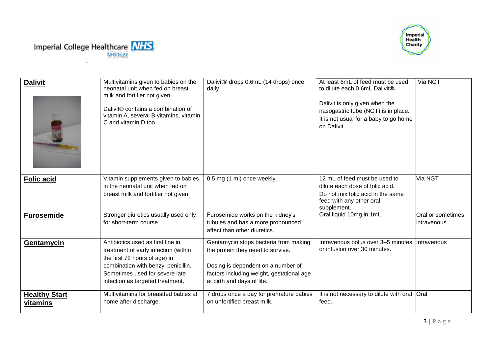



| <b>Dalivit</b>                   | Multivitamins given to babies on the<br>neonatal unit when fed on breast<br>milk and fortifier not given.<br>Dalivit® contains a combination of<br>vitamin A, several B vitamins, vitamin<br>C and vitamin D too.       | Dalivit® drops 0.6mL (14 drops) once<br>daily.                                                                                                                                              | At least 6mL of feed must be used<br>to dilute each 0.6mL Dalivit®.<br>Dalivit is only given when the<br>nasogastric tube (NGT) is in place.<br>It is not usual for a baby to go home<br>on Dalivit | Via NGT                           |
|----------------------------------|-------------------------------------------------------------------------------------------------------------------------------------------------------------------------------------------------------------------------|---------------------------------------------------------------------------------------------------------------------------------------------------------------------------------------------|-----------------------------------------------------------------------------------------------------------------------------------------------------------------------------------------------------|-----------------------------------|
| Folic acid                       | Vitamin supplements given to babies<br>in the neonatal unit when fed on<br>breast milk and fortifier not given.                                                                                                         | 0.5 mg (1 ml) once weekly.                                                                                                                                                                  | 12 mL of feed must be used to<br>dilute each dose of folic acid.<br>Do not mix folic acid in the same<br>feed with any other oral<br>supplement.                                                    | Via NGT                           |
| <b>Furosemide</b>                | Stronger diuretics usually used only<br>for short-term course.                                                                                                                                                          | Furosemide works on the kidney's<br>tubules and has a more pronounced<br>affect than other diuretics.                                                                                       | Oral liquid 10mg in 1mL                                                                                                                                                                             | Oral or sometimes<br>lintravenous |
| Gentamycin                       | Antibiotics used as first line in<br>treatment of early infection (within<br>the first 72 hours of age) in<br>combination with benzyl penicillin.<br>Sometimes used for severe late<br>infection as targeted treatment. | Gentamycin stops bacteria from making<br>the protein they need to survive.<br>Dosing is dependent on a number of<br>factors including weight, gestational age<br>at birth and days of life. | Intravenous bolus over 3-5 minutes<br>or infusion over 30 minutes.                                                                                                                                  | Intravenous                       |
| <b>Healthy Start</b><br>vitamins | Multivitamins for breastfed babies at<br>home after discharge.                                                                                                                                                          | 7 drops once a day for premature babies<br>on unfortified breast milk.                                                                                                                      | It is not necessary to dilute with oral Oral<br>feed.                                                                                                                                               |                                   |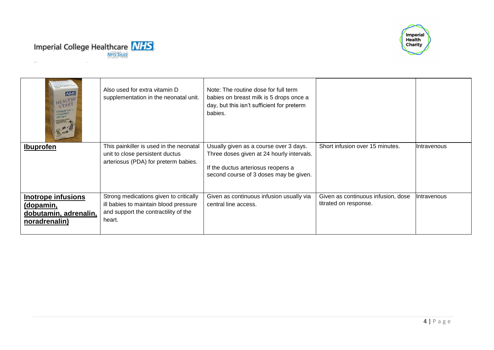



| <b>NHS</b><br>HEALTHY<br>children<br>vitamin<br>drops<br><b>Railway, Textbooks Person</b><br>And Chesterstown Pi | Also used for extra vitamin D<br>supplementation in the neonatal unit.                                                            | Note: The routine dose for full term<br>babies on breast milk is 5 drops once a<br>day, but this isn't sufficient for preterm<br>babies.                            |                                                             |              |
|------------------------------------------------------------------------------------------------------------------|-----------------------------------------------------------------------------------------------------------------------------------|---------------------------------------------------------------------------------------------------------------------------------------------------------------------|-------------------------------------------------------------|--------------|
| <b>Ibuprofen</b>                                                                                                 | This painkiller is used in the neonatal<br>unit to close persistent ductus<br>arteriosus (PDA) for preterm babies.                | Usually given as a course over 3 days.<br>Three doses given at 24 hourly intervals.<br>If the ductus arteriosus reopens a<br>second course of 3 doses may be given. | Short infusion over 15 minutes.                             | IIntravenous |
| Inotrope infusions<br>(dopamin,<br>dobutamin, adrenalin,<br>noradrenalin)                                        | Strong medications given to critically<br>ill babies to maintain blood pressure<br>and support the contractility of the<br>heart. | Given as continuous infusion usually via<br>central line access.                                                                                                    | Given as continuous infusion, dose<br>titrated on response. | Intravenous  |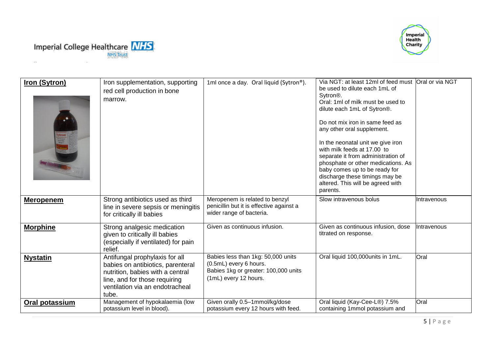



| <b>Iron (Sytron)</b> | Iron supplementation, supporting<br>red cell production in bone<br>marrow.                                                                                                           | 1ml once a day. Oral liquid (Sytron®).                                                                                        | Via NGT: at least 12ml of feed must<br>be used to dilute each 1mL of<br>Sytron <sup>®</sup> .<br>Oral: 1ml of milk must be used to<br>dilute each 1mL of Sytron®.<br>Do not mix iron in same feed as<br>any other oral supplement.<br>In the neonatal unit we give iron<br>with milk feeds at 17.00 to<br>separate it from administration of<br>phosphate or other medications. As<br>baby comes up to be ready for<br>discharge these timings may be<br>altered. This will be agreed with<br>parents. | Oral or via NGT |
|----------------------|--------------------------------------------------------------------------------------------------------------------------------------------------------------------------------------|-------------------------------------------------------------------------------------------------------------------------------|--------------------------------------------------------------------------------------------------------------------------------------------------------------------------------------------------------------------------------------------------------------------------------------------------------------------------------------------------------------------------------------------------------------------------------------------------------------------------------------------------------|-----------------|
| <b>Meropenem</b>     | Strong antibiotics used as third<br>line in severe sepsis or meningitis<br>for critically ill babies                                                                                 | Meropenem is related to benzyl<br>penicillin but it is effective against a<br>wider range of bacteria.                        | Slow intravenous bolus                                                                                                                                                                                                                                                                                                                                                                                                                                                                                 | Intravenous     |
| <b>Morphine</b>      | Strong analgesic medication<br>given to critically ill babies<br>(especially if ventilated) for pain<br>relief.                                                                      | Given as continuous infusion.                                                                                                 | Given as continuous infusion, dose<br>titrated on response.                                                                                                                                                                                                                                                                                                                                                                                                                                            | Intravenous     |
| <b>Nystatin</b>      | Antifungal prophylaxis for all<br>babies on antibiotics, parenteral<br>nutrition, babies with a central<br>line, and for those requiring<br>ventilation via an endotracheal<br>tube. | Babies less than 1kg: 50,000 units<br>(0.5mL) every 6 hours.<br>Babies 1kg or greater: 100,000 units<br>(1mL) every 12 hours. | Oral liquid 100,000units in 1mL.                                                                                                                                                                                                                                                                                                                                                                                                                                                                       | Oral            |
| Oral potassium       | Management of hypokalaemia (low<br>potassium level in blood).                                                                                                                        | Given orally 0.5-1mmol/kg/dose<br>potassium every 12 hours with feed.                                                         | Oral liquid (Kay-Cee-L®) 7.5%<br>containing 1mmol potassium and                                                                                                                                                                                                                                                                                                                                                                                                                                        | Oral            |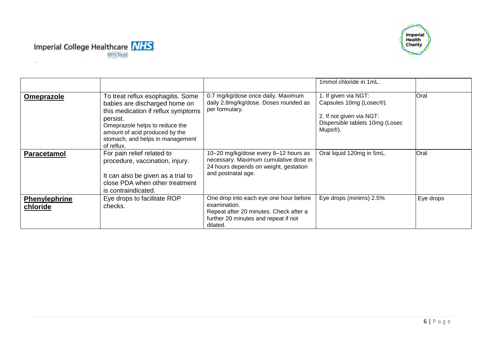



|                                  |                                                                                                                                                                                                                                            |                                                                                                                                                      | 1mmol chloride in 1mL.                                                                                                                              |           |
|----------------------------------|--------------------------------------------------------------------------------------------------------------------------------------------------------------------------------------------------------------------------------------------|------------------------------------------------------------------------------------------------------------------------------------------------------|-----------------------------------------------------------------------------------------------------------------------------------------------------|-----------|
| Omeprazole                       | To treat reflux esophagitis. Some<br>babies are discharged home on<br>this medication if reflux symptoms<br>persist.<br>Omeprazole helps to reduce the<br>amount of acid produced by the<br>stomach, and helps in management<br>of reflux. | 0.7 mg/kg/dose once daily. Maximum<br>daily 2.8mg/kg/dose. Doses rounded as<br>per formulary.                                                        | 1. If given via NGT:<br>Capsules 10mg (Losec <sup>®</sup> ).<br>2. If not given via NGT:<br>Dispersible tablets 10mg (Losec<br>Mups <sup>®</sup> ). | Oral      |
| <b>Paracetamol</b>               | For pain relief related to<br>procedure, vaccination, injury.<br>It can also be given as a trial to<br>close PDA when other treatment<br>is contraindicated.                                                                               | 10-20 mg/kg/dose every 8-12 hours as<br>necessary. Maximum cumulative dose in<br>24 hours depends on weight, gestation<br>and postnatal age.         | Oral liquid 120mg in 5mL.                                                                                                                           | Oral      |
| <b>Phenylephrine</b><br>chloride | Eye drops to facilitate ROP<br>checks.                                                                                                                                                                                                     | One drop into each eye one hour before<br>examination.<br>Repeat after 20 minutes. Check after a<br>further 20 minutes and repeat if not<br>dilated. | Eye drops (minims) 2.5%                                                                                                                             | Eye drops |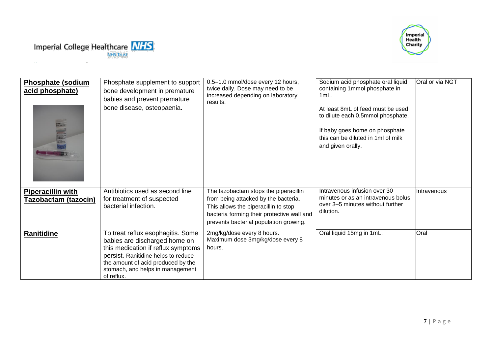



| <b>Phosphate (sodium</b><br>acid phosphate)      | Phosphate supplement to support<br>bone development in premature<br>babies and prevent premature<br>bone disease, osteopaenia.                                                                                                          | 0.5-1.0 mmol/dose every 12 hours,<br>twice daily. Dose may need to be<br>increased depending on laboratory<br>results.                                                                                        | Sodium acid phosphate oral liquid<br>containing 1mmol phosphate in<br>$1mL$ .<br>At least 8mL of feed must be used<br>to dilute each 0.5mmol phosphate.<br>If baby goes home on phosphate<br>this can be diluted in 1ml of milk<br>and given orally. | Oral or via NGT |
|--------------------------------------------------|-----------------------------------------------------------------------------------------------------------------------------------------------------------------------------------------------------------------------------------------|---------------------------------------------------------------------------------------------------------------------------------------------------------------------------------------------------------------|------------------------------------------------------------------------------------------------------------------------------------------------------------------------------------------------------------------------------------------------------|-----------------|
| <b>Piperacillin with</b><br>Tazobactam (tazocin) | Antibiotics used as second line<br>for treatment of suspected<br>bacterial infection.                                                                                                                                                   | The tazobactam stops the piperacillin<br>from being attacked by the bacteria.<br>This allows the piperacillin to stop<br>bacteria forming their protective wall and<br>prevents bacterial population growing. | Intravenous infusion over 30<br>minutes or as an intravenous bolus<br>over 3–5 minutes without further<br>dilution.                                                                                                                                  | IIntravenous    |
| Ranitidine                                       | To treat reflux esophagitis. Some<br>babies are discharged home on<br>this medication if reflux symptoms<br>persist. Ranitidine helps to reduce<br>the amount of acid produced by the<br>stomach, and helps in management<br>of reflux. | 2mg/kg/dose every 8 hours.<br>Maximum dose 3mg/kg/dose every 8<br>hours.                                                                                                                                      | Oral liquid 15mg in 1mL.                                                                                                                                                                                                                             | Oral            |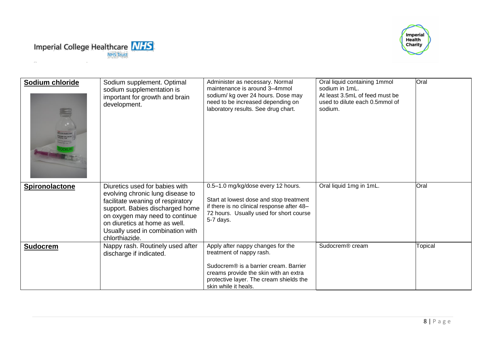



| Sodium chloride<br><b>ST FOR INJECTION</b><br><b>SOLIM CHLORIDE</b><br><sup>Stampl</sup> In Tall | Sodium supplement. Optimal<br>sodium supplementation is<br>important for growth and brain<br>development.                                                                                                                                                           | Administer as necessary. Normal<br>maintenance is around 3-4mmol<br>sodium/ kg over 24 hours. Dose may<br>need to be increased depending on<br>laboratory results. See drug chart.                                 | Oral liquid containing 1mmol<br>sodium in 1mL.<br>At least 3.5mL of feed must be<br>used to dilute each 0.5mmol of<br>sodium. | Oral    |
|--------------------------------------------------------------------------------------------------|---------------------------------------------------------------------------------------------------------------------------------------------------------------------------------------------------------------------------------------------------------------------|--------------------------------------------------------------------------------------------------------------------------------------------------------------------------------------------------------------------|-------------------------------------------------------------------------------------------------------------------------------|---------|
| Spironolactone                                                                                   | Diuretics used for babies with<br>evolving chronic lung disease to<br>facilitate weaning of respiratory<br>support. Babies discharged home<br>on oxygen may need to continue<br>on diuretics at home as well.<br>Usually used in combination with<br>chlorthiazide. | 0.5-1.0 mg/kg/dose every 12 hours.<br>Start at lowest dose and stop treatment<br>if there is no clinical response after 48-<br>72 hours. Usually used for short course<br>5-7 days.                                | Oral liquid 1mg in 1mL.                                                                                                       | Oral    |
| <b>Sudocrem</b>                                                                                  | Nappy rash. Routinely used after<br>discharge if indicated.                                                                                                                                                                                                         | Apply after nappy changes for the<br>treatment of nappy rash.<br>Sudocrem® is a barrier cream. Barrier<br>creams provide the skin with an extra<br>protective layer. The cream shields the<br>skin while it heals. | Sudocrem <sup>®</sup> cream                                                                                                   | Topical |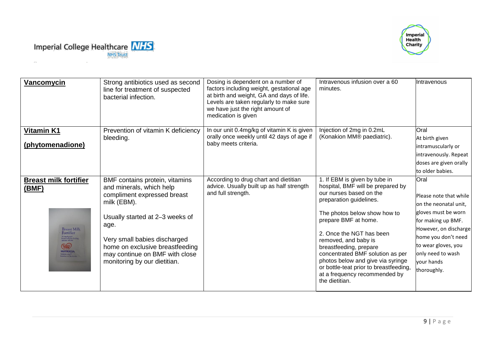



| Vancomycin                                                                                                                                                                                                                                               | Strong antibiotics used as second<br>line for treatment of suspected<br>bacterial infection.                                                                                                                                                                                             | Dosing is dependent on a number of<br>factors including weight, gestational age<br>at birth and weight, GA and days of life.<br>Levels are taken regularly to make sure<br>we have just the right amount of<br>medication is given | Intravenous infusion over a 60<br>minutes.                                                                                                                                                                                                                                                                                                                                                                                           | Intravenous                                                                                                                                                                                                                   |
|----------------------------------------------------------------------------------------------------------------------------------------------------------------------------------------------------------------------------------------------------------|------------------------------------------------------------------------------------------------------------------------------------------------------------------------------------------------------------------------------------------------------------------------------------------|------------------------------------------------------------------------------------------------------------------------------------------------------------------------------------------------------------------------------------|--------------------------------------------------------------------------------------------------------------------------------------------------------------------------------------------------------------------------------------------------------------------------------------------------------------------------------------------------------------------------------------------------------------------------------------|-------------------------------------------------------------------------------------------------------------------------------------------------------------------------------------------------------------------------------|
| <b>Vitamin K1</b><br>(phytomenadione)                                                                                                                                                                                                                    | Prevention of vitamin K deficiency<br>bleeding.                                                                                                                                                                                                                                          | In our unit 0.4mg/kg of vitamin K is given<br>orally once weekly until 42 days of age if<br>baby meets criteria.                                                                                                                   | Injection of 2mg in 0.2mL<br>(Konakion MM® paediatric).                                                                                                                                                                                                                                                                                                                                                                              | Oral<br>At birth given<br>intramuscularly or<br>intravenously. Repeat<br>doses are given orally<br>to older babies.                                                                                                           |
| <b>Breast milk fortifier</b><br>(BMF)<br><b>Breast Milk</b><br>Fortifier<br>To supplement<br>breast milk for feeding<br>preterm infants<br>$\begin{array}{c}\n\begin{array}{c}\n\hline\n\text{GMD} \\ \hline\n\text{NUTRICAL}\n\end{array}\n\end{array}$ | BMF contains protein, vitamins<br>and minerals, which help<br>compliment expressed breast<br>milk (EBM).<br>Usually started at 2-3 weeks of<br>age.<br>Very small babies discharged<br>home on exclusive breastfeeding<br>may continue on BMF with close<br>monitoring by our dietitian. | According to drug chart and dietitian<br>advice. Usually built up as half strength<br>and full strength.                                                                                                                           | 1. If EBM is given by tube in<br>hospital, BMF will be prepared by<br>our nurses based on the<br>preparation guidelines.<br>The photos below show how to<br>prepare BMF at home.<br>2. Once the NGT has been<br>removed, and baby is<br>breastfeeding, prepare<br>concentrated BMF solution as per<br>photos below and give via syringe<br>or bottle-teat prior to breastfeeding,<br>at a frequency recommended by<br>the dietitian. | Oral<br>Please note that while<br>on the neonatal unit,<br>gloves must be worn<br>for making up BMF.<br>However, on discharge<br>home you don't need<br>to wear gloves, you<br>only need to wash<br>vour hands<br>thoroughly. |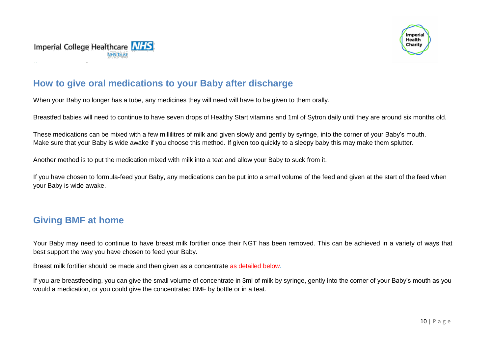



#### **How to give oral medications to your Baby after discharge**

When your Baby no longer has a tube, any medicines they will need will have to be given to them orally.

Breastfed babies will need to continue to have seven drops of Healthy Start vitamins and 1ml of Sytron daily until they are around six months old.

These medications can be mixed with a few millilitres of milk and given slowly and gently by syringe, into the corner of your Baby's mouth. Make sure that your Baby is wide awake if you choose this method. If given too quickly to a sleepy baby this may make them splutter.

Another method is to put the medication mixed with milk into a teat and allow your Baby to suck from it.

If you have chosen to formula-feed your Baby, any medications can be put into a small volume of the feed and given at the start of the feed when your Baby is wide awake.

#### **Giving BMF at home**

Your Baby may need to continue to have breast milk fortifier once their NGT has been removed. This can be achieved in a variety of ways that best support the way you have chosen to feed your Baby.

Breast milk fortifier should be made and then given as a concentrate as detailed below.

If you are breastfeeding, you can give the small volume of concentrate in 3ml of milk by syringe, gently into the corner of your Baby's mouth as you would a medication, or you could give the concentrated BMF by bottle or in a teat.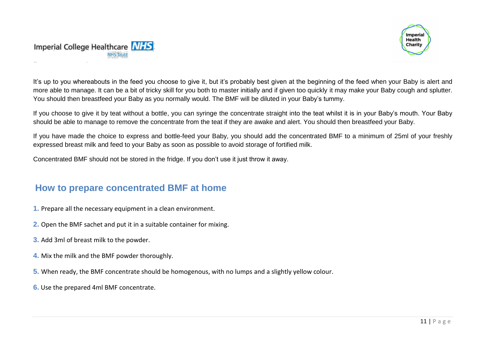



It's up to you whereabouts in the feed you choose to give it, but it's probably best given at the beginning of the feed when your Baby is alert and more able to manage. It can be a bit of tricky skill for you both to master initially and if given too quickly it may make your Baby cough and splutter. You should then breastfeed your Baby as you normally would. The BMF will be diluted in your Baby's tummy.

If you choose to give it by teat without a bottle, you can syringe the concentrate straight into the teat whilst it is in your Baby's mouth. Your Baby should be able to manage to remove the concentrate from the teat if they are awake and alert. You should then breastfeed your Baby.

If you have made the choice to express and bottle-feed your Baby, you should add the concentrated BMF to a minimum of 25ml of your freshly expressed breast milk and feed to your Baby as soon as possible to avoid storage of fortified milk.

Concentrated BMF should not be stored in the fridge. If you don't use it just throw it away.

#### **How to prepare concentrated BMF at home**

- **1.** Prepare all the necessary equipment in a clean environment.
- **2.** Open the BMF sachet and put it in a suitable container for mixing.
- **3.** Add 3ml of breast milk to the powder.
- **4.** Mix the milk and the BMF powder thoroughly.
- **5.** When ready, the BMF concentrate should be homogenous, with no lumps and a slightly yellow colour.
- **6.** Use the prepared 4ml BMF concentrate.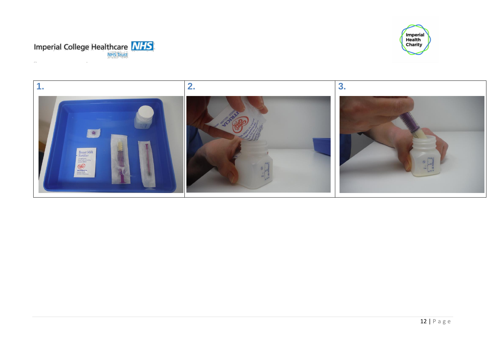



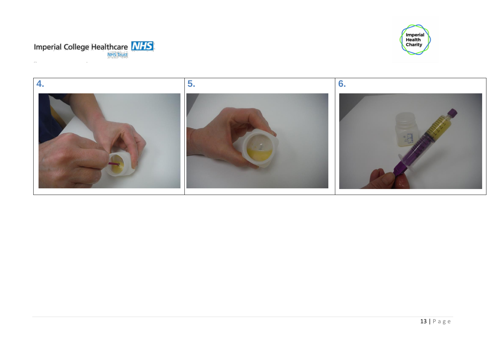